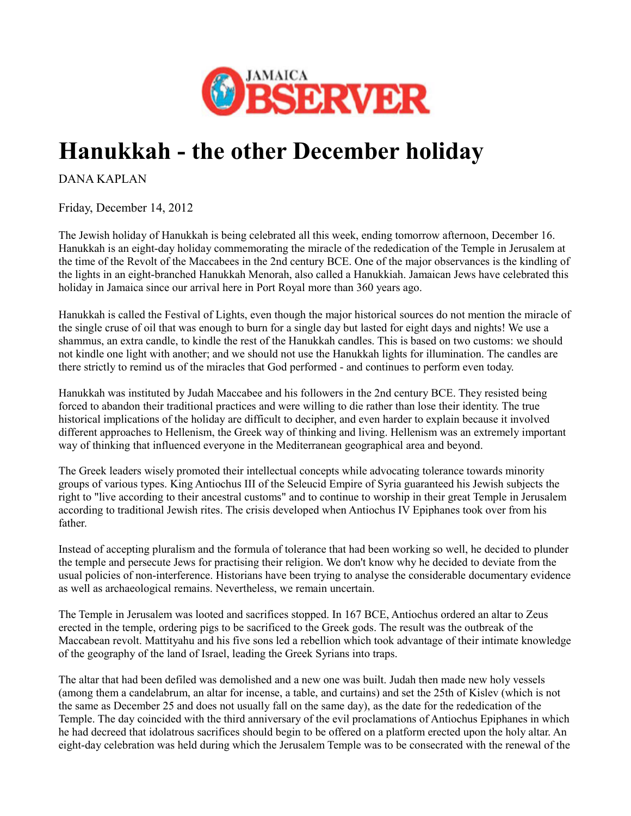

## **Hanukkah - the other December holiday**

DANA KAPLAN

Friday, December 14, 2012

The Jewish holiday of Hanukkah is being celebrated all this week, ending tomorrow afternoon, December 16. Hanukkah is an eight-day holiday commemorating the miracle of the rededication of the Temple in Jerusalem at the time of the Revolt of the Maccabees in the 2nd century BCE. One of the major observances is the kindling of the lights in an eight-branched Hanukkah Menorah, also called a Hanukkiah. Jamaican Jews have celebrated this holiday in Jamaica since our arrival here in Port Royal more than 360 years ago.

Hanukkah is called the Festival of Lights, even though the major historical sources do not mention the miracle of the single cruse of oil that was enough to burn for a single day but lasted for eight days and nights! We use a shammus, an extra candle, to kindle the rest of the Hanukkah candles. This is based on two customs: we should not kindle one light with another; and we should not use the Hanukkah lights for illumination. The candles are there strictly to remind us of the miracles that God performed - and continues to perform even today.

Hanukkah was instituted by Judah Maccabee and his followers in the 2nd century BCE. They resisted being forced to abandon their traditional practices and were willing to die rather than lose their identity. The true historical implications of the holiday are difficult to decipher, and even harder to explain because it involved different approaches to Hellenism, the Greek way of thinking and living. Hellenism was an extremely important way of thinking that influenced everyone in the Mediterranean geographical area and beyond.

The Greek leaders wisely promoted their intellectual concepts while advocating tolerance towards minority groups of various types. King Antiochus III of the Seleucid Empire of Syria guaranteed his Jewish subjects the right to "live according to their ancestral customs" and to continue to worship in their great Temple in Jerusalem according to traditional Jewish rites. The crisis developed when Antiochus IV Epiphanes took over from his father.

Instead of accepting pluralism and the formula of tolerance that had been working so well, he decided to plunder the temple and persecute Jews for practising their religion. We don't know why he decided to deviate from the usual policies of non-interference. Historians have been trying to analyse the considerable documentary evidence as well as archaeological remains. Nevertheless, we remain uncertain.

The Temple in Jerusalem was looted and sacrifices stopped. In 167 BCE, Antiochus ordered an altar to Zeus erected in the temple, ordering pigs to be sacrificed to the Greek gods. The result was the outbreak of the Maccabean revolt. Mattityahu and his five sons led a rebellion which took advantage of their intimate knowledge of the geography of the land of Israel, leading the Greek Syrians into traps.

The altar that had been defiled was demolished and a new one was built. Judah then made new holy vessels (among them a candelabrum, an altar for incense, a table, and curtains) and set the 25th of Kislev (which is not the same as December 25 and does not usually fall on the same day), as the date for the rededication of the Temple. The day coincided with the third anniversary of the evil proclamations of Antiochus Epiphanes in which he had decreed that idolatrous sacrifices should begin to be offered on a platform erected upon the holy altar. An eight-day celebration was held during which the Jerusalem Temple was to be consecrated with the renewal of the